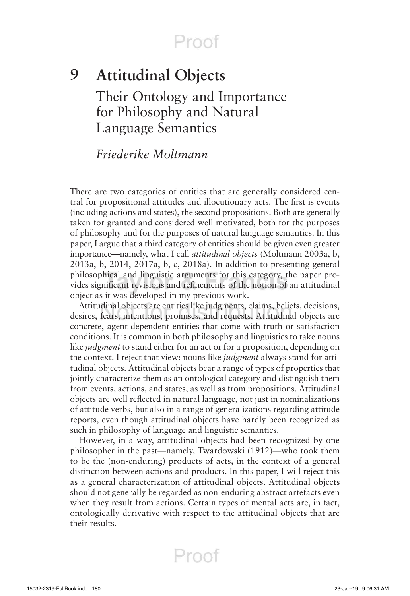### **Attitudinal Objects** Their Ontology and Importance for Philosophy and Natural Language Semantics **9**

### *Friederike Moltmann*

There are two categories of entities that are generally considered central for propositional attitudes and illocutionary acts. The first is events (including actions and states), the second propositions. Both are generally taken for granted and considered well motivated, both for the purposes of philosophy and for the purposes of natural language semantics. In this paper, I argue that a third category of entities should be given even greater importance—namely, what I call *attitudinal objects* (Moltmann 2003a, b, 2013a, b, 2014, 2017a, b, c, 2018a). In addition to presenting general philosophical and linguistic arguments for this category, the paper provides significant revisions and refinements of the notion of an attitudinal object as it was developed in my previous work.

Attitudinal objects are entities like judgments, claims, beliefs, decisions, desires, fears, intentions, promises, and requests. Attitudinal objects are concrete, agent-dependent entities that come with truth or satisfaction conditions. It is common in both philosophy and linguistics to take nouns like *judgment* to stand either for an act or for a proposition, depending on the context. I reject that view: nouns like *judgment* always stand for attitudinal objects. Attitudinal objects bear a range of types of properties that jointly characterize them as an ontological category and distinguish them from events, actions, and states, as well as from propositions. Attitudinal objects are well reflected in natural language, not just in nominalizations of attitude verbs, but also in a range of generalizations regarding attitude reports, even though attitudinal objects have hardly been recognized as such in philosophy of language and linguistic semantics.

However, in a way, attitudinal objects had been recognized by one philosopher in the past—namely, Twardowski (1912)—who took them to be the (non-enduring) products of acts, in the context of a general distinction between actions and products. In this paper, I will reject this as a general characterization of attitudinal objects. Attitudinal objects should not generally be regarded as non-enduring abstract artefacts even when they result from actions. Certain types of mental acts are, in fact, ontologically derivative with respect to the attitudinal objects that are their results.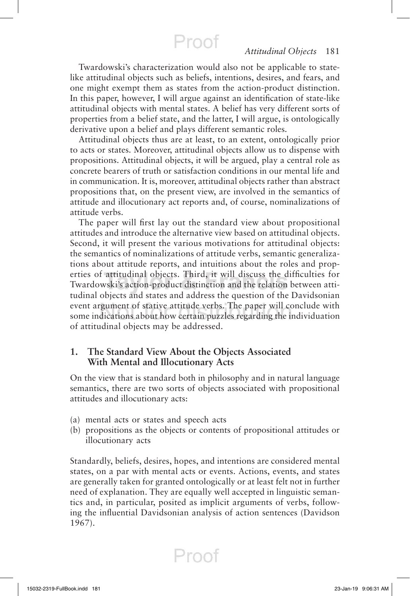#### *Attitudinal Objects* 181

Twardowski's characterization would also not be applicable to statelike attitudinal objects such as beliefs, intentions, desires, and fears, and one might exempt them as states from the action-product distinction. In this paper, however, I will argue against an identification of state-like attitudinal objects with mental states. A belief has very different sorts of properties from a belief state, and the latter, I will argue, is ontologically derivative upon a belief and plays different semantic roles.

Attitudinal objects thus are at least, to an extent, ontologically prior to acts or states. Moreover, attitudinal objects allow us to dispense with propositions. Attitudinal objects, it will be argued, play a central role as concrete bearers of truth or satisfaction conditions in our mental life and in communication. It is, moreover, attitudinal objects rather than abstract propositions that, on the present view, are involved in the semantics of attitude and illocutionary act reports and, of course, nominalizations of attitude verbs.

The paper will first lay out the standard view about propositional attitudes and introduce the alternative view based on attitudinal objects. Second, it will present the various motivations for attitudinal objects: the semantics of nominalizations of attitude verbs, semantic generalizations about attitude reports, and intuitions about the roles and properties of attitudinal objects. Third, it will discuss the difficulties for Twardowski's action-product distinction and the relation between attitudinal objects and states and address the question of the Davidsonian event argument of stative attitude verbs. The paper will conclude with some indications about how certain puzzles regarding the individuation of attitudinal objects may be addressed.

### **1. The Standard View About the Objects Associated With Mental and Illocutionary Acts**

On the view that is standard both in philosophy and in natural language semantics, there are two sorts of objects associated with propositional attitudes and illocutionary acts:

- (a) mental acts or states and speech acts
- (b) propositions as the objects or contents of propositional attitudes or illocutionary acts

Standardly, beliefs, desires, hopes, and intentions are considered mental states, on a par with mental acts or events. Actions, events, and states are generally taken for granted ontologically or at least felt not in further need of explanation. They are equally well accepted in linguistic semantics and, in particular, posited as implicit arguments of verbs, following the influential Davidsonian analysis of action sentences (Davidson 1967).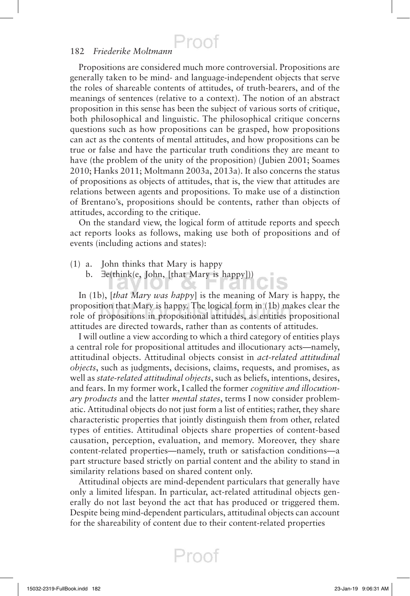### 182 *Friederike Moltmann*

Propositions are considered much more controversial. Propositions are generally taken to be mind- and language-independent objects that serve the roles of shareable contents of attitudes, of truth-bearers, and of the meanings of sentences (relative to a context). The notion of an abstract proposition in this sense has been the subject of various sorts of critique, both philosophical and linguistic. The philosophical critique concerns questions such as how propositions can be grasped, how propositions can act as the contents of mental attitudes, and how propositions can be true or false and have the particular truth conditions they are meant to have (the problem of the unity of the proposition) (Jubien 2001; Soames 2010; Hanks 2011; Moltmann 2003a, 2013a). It also concerns the status of propositions as objects of attitudes, that is, the view that attitudes are relations between agents and propositions. To make use of a distinction of Brentano's, propositions should be contents, rather than objects of attitudes, according to the critique.

On the standard view, the logical form of attitude reports and speech act reports looks as follows, making use both of propositions and of events (including actions and states):

- (1) a. John thinks that Mary is happy
	- b. ∃e(think(e, John, [that Mary is happy])) IOF OF

In (1b), [*that Mary was happy*] is the meaning of Mary is happy, the proposition that Mary is happy. The logical form in (1b) makes clear the role of propositions in propositional attitudes, as entities propositional attitudes are directed towards, rather than as contents of attitudes.

 $\overline{\phantom{a}}$ 

I will outline a view according to which a third category of entities plays a central role for propositional attitudes and illocutionary acts—namely, attitudinal objects. Attitudinal objects consist in *act-related attitudinal objects*, such as judgments, decisions, claims, requests, and promises, as well as *state-related attitudinal objects*, such as beliefs, intentions, desires, and fears. In my former work, I called the former *cognitive and illocutionary products* and the latter *mental states*, terms I now consider problematic. Attitudinal objects do not just form a list of entities; rather, they share characteristic properties that jointly distinguish them from other, related types of entities. Attitudinal objects share properties of content-based causation, perception, evaluation, and memory. Moreover, they share content-related properties—namely, truth or satisfaction conditions—a part structure based strictly on partial content and the ability to stand in similarity relations based on shared content only.

Attitudinal objects are mind-dependent particulars that generally have only a limited lifespan. In particular, act-related attitudinal objects generally do not last beyond the act that has produced or triggered them. Despite being mind-dependent particulars, attitudinal objects can account for the shareability of content due to their content-related properties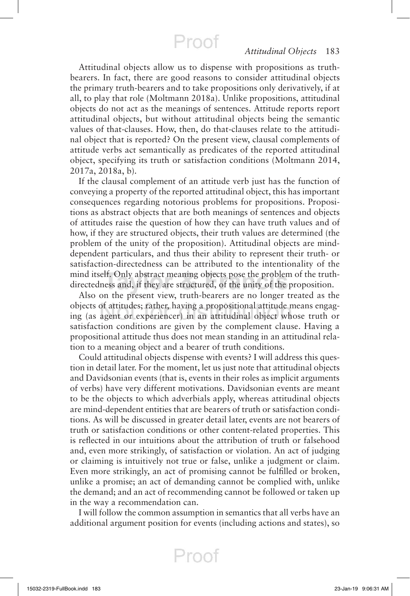#### *Attitudinal Objects* 183

Attitudinal objects allow us to dispense with propositions as truthbearers. In fact, there are good reasons to consider attitudinal objects the primary truth-bearers and to take propositions only derivatively, if at all, to play that role (Moltmann 2018a). Unlike propositions, attitudinal objects do not act as the meanings of sentences. Attitude reports report attitudinal objects, but without attitudinal objects being the semantic values of that-clauses. How, then, do that*-*clauses relate to the attitudinal object that is reported? On the present view, clausal complements of attitude verbs act semantically as predicates of the reported attitudinal object, specifying its truth or satisfaction conditions (Moltmann 2014, 2017a, 2018a, b).

If the clausal complement of an attitude verb just has the function of conveying a property of the reported attitudinal object, this has important consequences regarding notorious problems for propositions. Propositions as abstract objects that are both meanings of sentences and objects of attitudes raise the question of how they can have truth values and of how, if they are structured objects, their truth values are determined (the problem of the unity of the proposition). Attitudinal objects are minddependent particulars, and thus their ability to represent their truth- or satisfaction-directedness can be attributed to the intentionality of the mind itself. Only abstract meaning objects pose the problem of the truthdirectedness and, if they are structured, of the unity of the proposition.

Also on the present view, truth-bearers are no longer treated as the objects of attitudes; rather, having a propositional attitude means engaging (as agent or experiencer) in an attitudinal object whose truth or satisfaction conditions are given by the complement clause. Having a propositional attitude thus does not mean standing in an attitudinal relation to a meaning object and a bearer of truth conditions.

Could attitudinal objects dispense with events? I will address this question in detail later. For the moment, let us just note that attitudinal objects and Davidsonian events (that is, events in their roles as implicit arguments of verbs) have very different motivations. Davidsonian events are meant to be the objects to which adverbials apply, whereas attitudinal objects are mind-dependent entities that are bearers of truth or satisfaction conditions. As will be discussed in greater detail later, events are not bearers of truth or satisfaction conditions or other content-related properties. This is reflected in our intuitions about the attribution of truth or falsehood and, even more strikingly, of satisfaction or violation. An act of judging or claiming is intuitively not true or false, unlike a judgment or claim. Even more strikingly, an act of promising cannot be fulfilled or broken, unlike a promise; an act of demanding cannot be complied with, unlike the demand; and an act of recommending cannot be followed or taken up in the way a recommendation can.

I will follow the common assumption in semantics that all verbs have an additional argument position for events (including actions and states), so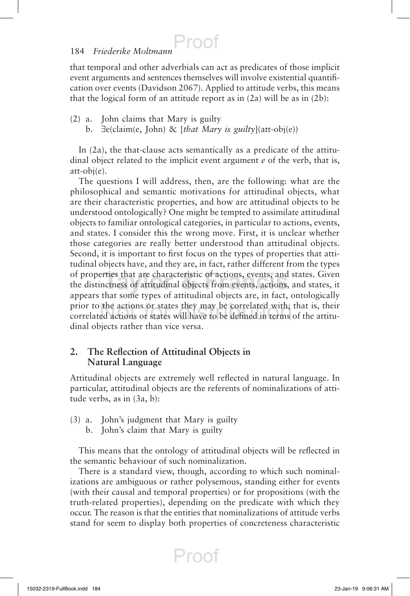### 184 *Friederike Moltmann*

that temporal and other adverbials can act as predicates of those implicit event arguments and sentences themselves will involve existential quantification over events (Davidson 2067). Applied to attitude verbs, this means that the logical form of an attitude report as in  $(2a)$  will be as in  $(2b)$ :

- (2) a. John claims that Mary is guilty
	- b. ∃e(claim(e, John) & [*that Mary is guilty*](att-obj(e))

In (2a), the that-clause acts semantically as a predicate of the attitudinal object related to the implicit event argument *e* of the verb, that is, att-obj(e).

The questions I will address, then, are the following: what are the philosophical and semantic motivations for attitudinal objects, what are their characteristic properties, and how are attitudinal objects to be understood ontologically? One might be tempted to assimilate attitudinal objects to familiar ontological categories, in particular to actions, events, and states. I consider this the wrong move. First, it is unclear whether those categories are really better understood than attitudinal objects. Second, it is important to first focus on the types of properties that attitudinal objects have, and they are, in fact, rather different from the types of properties that are characteristic of actions, events, and states. Given the distinctness of attitudinal objects from events, actions, and states, it appears that some types of attitudinal objects are, in fact, ontologically prior to the actions or states they may be correlated with; that is, their correlated actions or states will have to be defined in terms of the attitudinal objects rather than vice versa.

### **2. The Reflection of Attitudinal Objects in Natural Language**

Attitudinal objects are extremely well reflected in natural language. In particular, attitudinal objects are the referents of nominalizations of attitude verbs, as in (3a, b):

- (3) a. John's judgment that Mary is guilty
	- b. John's claim that Mary is guilty

This means that the ontology of attitudinal objects will be reflected in the semantic behaviour of such nominalization.

There is a standard view, though, according to which such nominalizations are ambiguous or rather polysemous, standing either for events (with their causal and temporal properties) or for propositions (with the truth-related properties), depending on the predicate with which they occur. The reason is that the entities that nominalizations of attitude verbs stand for seem to display both properties of concreteness characteristic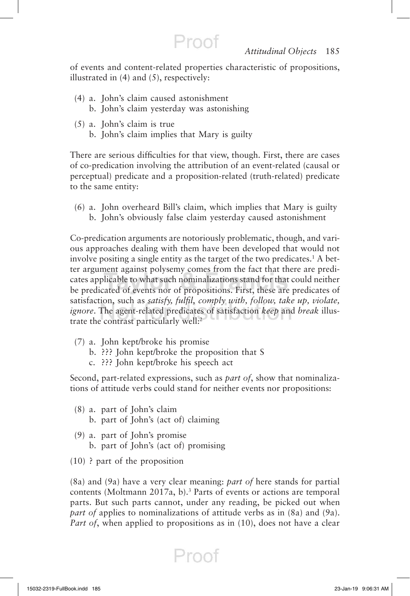of events and content-related properties characteristic of propositions, illustrated in  $(4)$  and  $(5)$ , respectively:

Proof

- (4) a. John's claim caused astonishment b. John's claim yesterday was astonishing
- (5) a. John's claim is true b. John's claim implies that Mary is guilty

There are serious difficulties for that view, though. First, there are cases of co-predication involving the attribution of an event-related (causal or perceptual) predicate and a proposition-related (truth-related) predicate to the same entity:

(6) a. John overheard Bill's claim, which implies that Mary is guilty b. John's obviously false claim yesterday caused astonishment

Co-predication arguments are notoriously problematic, though, and various approaches dealing with them have been developed that would not involve positing a single entity as the target of the two predicates.1 A better argument against polysemy comes from the fact that there are predicates applicable to what such nominalizations stand for that could neither be predicated of events nor of propositions. First, these are predicates of satisfaction, such as *satisfy, fulfil, comply with, follow, take up, violate, ignore*. The agent-related predicates of satisfaction *keep* and *break* illustrate the contrast particularly well:<sup>2</sup>

- (7) a. John kept/broke his promise
	- b. ??? John kept/broke the proposition that S
	- c. ??? John kept/broke his speech act

Second, part-related expressions, such as *part of*, show that nominalizations of attitude verbs could stand for neither events nor propositions:

- (8) a. part of John's claim b. part of John's (act of) claiming
- (9) a. part of John's promise b. part of John's (act of) promising
- (10) ? part of the proposition

(8a) and (9a) have a very clear meaning: *part of* here stands for partial contents (Moltmann 2017a, b).3 Parts of events or actions are temporal parts. But such parts cannot, under any reading, be picked out when *part of* applies to nominalizations of attitude verbs as in (8a) and (9a). *Part of*, when applied to propositions as in (10), does not have a clear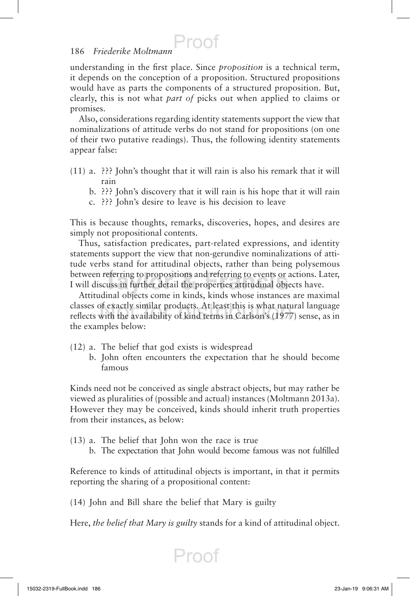### 186 *Friederike Moltmann*

understanding in the first place. Since *proposition* is a technical term, it depends on the conception of a proposition. Structured propositions would have as parts the components of a structured proposition. But, clearly, this is not what *part of* picks out when applied to claims or promises.

Also, considerations regarding identity statements support the view that nominalizations of attitude verbs do not stand for propositions (on one of their two putative readings). Thus, the following identity statements appear false:

- (11) a. ??? John's thought that it will rain is also his remark that it will rain
	- b. ??? John's discovery that it will rain is his hope that it will rain
	- c. ??? John's desire to leave is his decision to leave

This is because thoughts, remarks, discoveries, hopes, and desires are simply not propositional contents.

Thus, satisfaction predicates, part-related expressions, and identity statements support the view that non-gerundive nominalizations of attitude verbs stand for attitudinal objects, rather than being polysemous between referring to propositions and referring to events or actions. Later, I will discuss in further detail the properties attitudinal objects have.

Attitudinal objects come in kinds, kinds whose instances are maximal classes of exactly similar products. At least this is what natural language reflects with the availability of kind terms in Carlson's (1977) sense, as in the examples below:

- (12) a. The belief that god exists is widespread
	- b. John often encounters the expectation that he should become famous

Kinds need not be conceived as single abstract objects, but may rather be viewed as pluralities of (possible and actual) instances (Moltmann 2013a). However they may be conceived, kinds should inherit truth properties from their instances, as below:

- (13) a. The belief that John won the race is true
	- b. The expectation that John would become famous was not fulfilled

Reference to kinds of attitudinal objects is important, in that it permits reporting the sharing of a propositional content:

(14) John and Bill share the belief that Mary is guilty

Here, *the belief that Mary is guilty* stands for a kind of attitudinal object.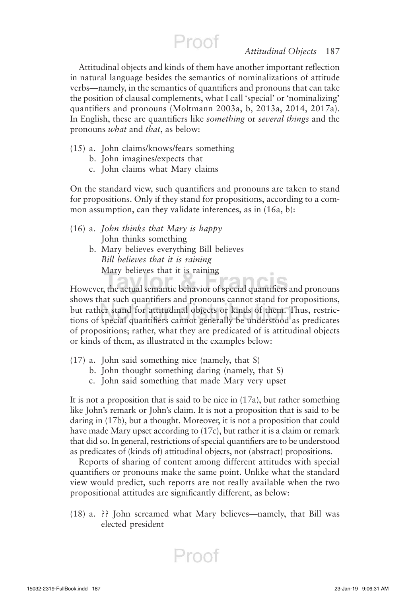#### *Attitudinal Objects* 187

Attitudinal objects and kinds of them have another important reflection in natural language besides the semantics of nominalizations of attitude verbs—namely, in the semantics of quantifiers and pronouns that can take the position of clausal complements, what I call 'special' or 'nominalizing' quantifiers and pronouns (Moltmann 2003a, b, 2013a, 2014, 2017a). In English, these are quantifiers like *something* or *several things* and the pronouns *what* and *that*, as below:

- (15) a. John claims/knows/fears something
	- b. John imagines/expects that
	- c. John claims what Mary claims

On the standard view, such quantifiers and pronouns are taken to stand for propositions. Only if they stand for propositions, according to a common assumption, can they validate inferences, as in (16a, b):

- (16) a. *John thinks that Mary is happy* John thinks something
	- b. Mary believes everything Bill believes *Bill believes that it is raining* Mary believes that it is raining

However, the actual semantic behavior of special quantifiers and pronouns shows that such quantifiers and pronouns cannot stand for propositions, but rather stand for attitudinal objects or kinds of them. Thus, restrictions of special quantifiers cannot generally be understood as predicates of propositions; rather, what they are predicated of is attitudinal objects or kinds of them, as illustrated in the examples below:

- (17) a. John said something nice (namely, that S)
	- b. John thought something daring (namely, that S)
	- c. John said something that made Mary very upset

It is not a proposition that is said to be nice in (17a), but rather something like John's remark or John's claim. It is not a proposition that is said to be daring in (17b), but a thought. Moreover, it is not a proposition that could have made Mary upset according to (17c), but rather it is a claim or remark that did so. In general, restrictions of special quantifiers are to be understood as predicates of (kinds of) attitudinal objects, not (abstract) propositions.

Reports of sharing of content among different attitudes with special quantifiers or pronouns make the same point. Unlike what the standard view would predict, such reports are not really available when the two propositional attitudes are significantly different, as below:

(18) a. ?? John screamed what Mary believes—namely, that Bill was elected president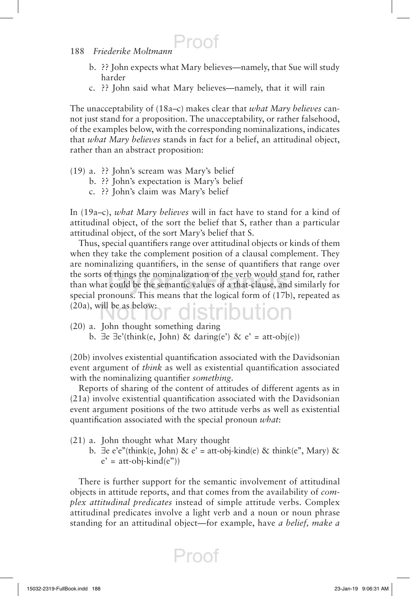# Proot

188 *Friederike Moltmann*

- b. ?? John expects what Mary believes—namely, that Sue will study harder
- c. ?? John said what Mary believes—namely, that it will rain

The unacceptability of (18a–c) makes clear that *what Mary believes* cannot just stand for a proposition. The unacceptability, or rather falsehood, of the examples below, with the corresponding nominalizations, indicates that *what Mary believes* stands in fact for a belief, an attitudinal object, rather than an abstract proposition:

- (19) a. ?? John's scream was Mary's belief
	- b. ?? John's expectation is Mary's belief
	- c. ?? John's claim was Mary's belief

In (19a–c), *what Mary believes* will in fact have to stand for a kind of attitudinal object, of the sort the belief that S, rather than a particular attitudinal object, of the sort Mary's belief that S.

Thus, special quantifiers range over attitudinal objects or kinds of them when they take the complement position of a clausal complement. They are nominalizing quantifiers, in the sense of quantifiers that range over the sorts of things the nominalization of the verb would stand for, rather than what could be the semantic values of a that-clause, and similarly for special pronouns. This means that the logical form of (17b), repeated as (20a), will be as below: distribution

(20) a. John thought something daring b. ∃e ∃e'(think(e, John) & daring(e') & e' = att-obj(e))

(20b) involves existential quantification associated with the Davidsonian event argument of *think* as well as existential quantification associated with the nominalizing quantifier *something*.

Reports of sharing of the content of attitudes of different agents as in (21a) involve existential quantification associated with the Davidsonian event argument positions of the two attitude verbs as well as existential quantification associated with the special pronoun *what*:

(21) a. John thought what Mary thought

J.L.

b. ∃e e'e"(think(e, John) & e' = att-obj-kind(e) & think(e", Mary) &  $e' =$ att-obj-kind $(e'')$ 

There is further support for the semantic involvement of attitudinal objects in attitude reports, and that comes from the availability of *complex attitudinal predicates* instead of simple attitude verbs. Complex attitudinal predicates involve a light verb and a noun or noun phrase standing for an attitudinal object—for example, have *a belief, make a*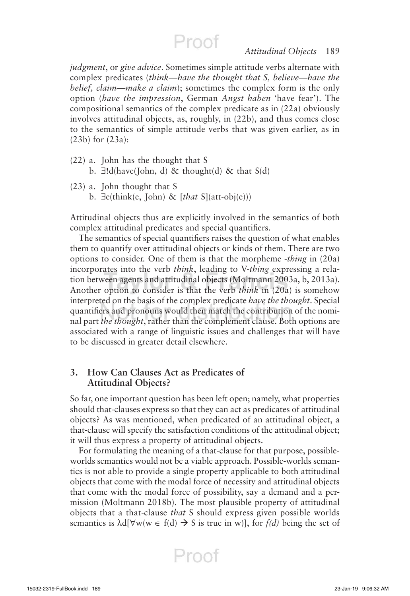#### *Attitudinal Objects* 189

*judgment*, or *give advice*. Sometimes simple attitude verbs alternate with complex predicates (*think—have the thought that S, believe—have the belief, claim—make a claim*); sometimes the complex form is the only option (*have the impression*, German *Angst haben* 'have fear'). The compositional semantics of the complex predicate as in (22a) obviously involves attitudinal objects, as, roughly, in (22b), and thus comes close to the semantics of simple attitude verbs that was given earlier, as in (23b) for (23a):

- (22) a. John has the thought that S b.  $∃!d(have(John, d) & thought(d) & that S(d))$
- (23) a. John thought that S b. ∃e(think(e, John) & [*that* S](att-obj(e)))

Attitudinal objects thus are explicitly involved in the semantics of both complex attitudinal predicates and special quantifiers.

The semantics of special quantifiers raises the question of what enables them to quantify over attitudinal objects or kinds of them. There are two options to consider. One of them is that the morpheme *-thing* in (20a) incorporates into the verb *think*, leading to V-*thing* expressing a relation between agents and attitudinal objects (Moltmann 2003a, b, 2013a). Another option to consider is that the verb *think* in (20a) is somehow interpreted on the basis of the complex predicate *have the thought*. Special quantifiers and pronouns would then match the contribution of the nominal part *the thought*, rather than the complement clause. Both options are associated with a range of linguistic issues and challenges that will have to be discussed in greater detail elsewhere.

### **3. How Can Clauses Act as Predicates of Attitudinal Objects?**

So far, one important question has been left open; namely, what properties should that-clauses express so that they can act as predicates of attitudinal objects? As was mentioned, when predicated of an attitudinal object, a that-clause will specify the satisfaction conditions of the attitudinal object; it will thus express a property of attitudinal objects.

For formulating the meaning of a that-clause for that purpose, possibleworlds semantics would not be a viable approach. Possible-worlds semantics is not able to provide a single property applicable to both attitudinal objects that come with the modal force of necessity and attitudinal objects that come with the modal force of possibility, say a demand and a permission (Moltmann 2018b). The most plausible property of attitudinal objects that a that-clause *that* S should express given possible worlds semantics is  $\lambda d[\forall w (w \in f(d) \rightarrow S \text{ is true in } w)]$ , for  $f(d)$  being the set of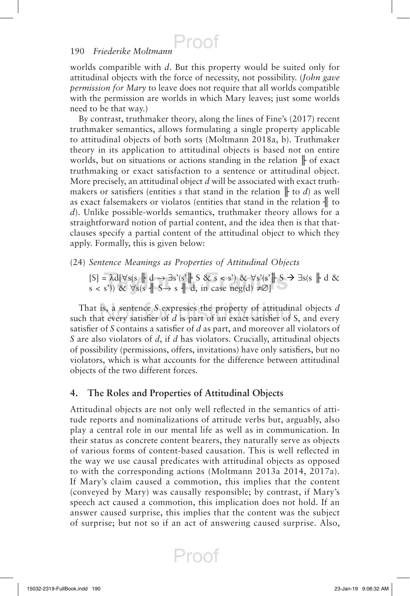### 190 *Friederike Moltmann*

worlds compatible with *d*. But this property would be suited only for attitudinal objects with the force of necessity, not possibility. (*John gave permission for Mary* to leave does not require that all worlds compatible with the permission are worlds in which Mary leaves; just some worlds need to be that way.)

By contrast, truthmaker theory, along the lines of Fine's (2017) recent truthmaker semantics, allows formulating a single property applicable to attitudinal objects of both sorts (Moltmann 2018a, b). Truthmaker theory in its application to attitudinal objects is based not on entire worlds, but on situations or actions standing in the relation  $\|$  of exact truthmaking or exact satisfaction to a sentence or attitudinal object. More precisely, an attitudinal object *d* will be associated with exact truthmakers or satisfiers (entities *s* that stand in the relation  $\|$  to *d*) as well as exact falsemakers or violatos (entities that stand in the relation  $\parallel$  to *d*). Unlike possible-worlds semantics, truthmaker theory allows for a straightforward notion of partial content, and the idea then is that thatclauses specify a partial content of the attitudinal object to which they apply. Formally, this is given below:

- (24) *Sentence Meanings as Properties of Attitudinal Objects*
	- $[S] = \lambda d[\forall s(s \parallel d \rightarrow \exists s'(s' \parallel S \& s < s')] \& \forall s'(s' \parallel S \rightarrow \exists s(s \parallel d \& s')$ s < s')) &  $\forall s(s)$  | S  $\rightarrow$  s | d, in case neg(d)  $\neq \emptyset$ ]

That is, a sentence *S* expresses the property of attitudinal objects *d* such that every satisfier of *d* is part of an exact satisfier of S, and every satisfier of *S* contains a satisfier of *d* as part, and moreover all violators of *S* are also violators of *d*, if *d* has violators. Crucially, attitudinal objects of possibility (permissions, offers, invitations) have only satisfiers, but no violators, which is what accounts for the difference between attitudinal objects of the two different forces.

#### **4. The Roles and Properties of Attitudinal Objects**

Attitudinal objects are not only well reflected in the semantics of attitude reports and nominalizations of attitude verbs but, arguably, also play a central role in our mental life as well as in communication. In their status as concrete content bearers, they naturally serve as objects of various forms of content-based causation. This is well reflected in the way we use causal predicates with attitudinal objects as opposed to with the corresponding actions (Moltmann 2013a 2014, 2017a). If Mary's claim caused a commotion, this implies that the content (conveyed by Mary) was causally responsible; by contrast, if Mary's speech act caused a commotion, this implication does not hold. If an answer caused surprise, this implies that the content was the subject of surprise; but not so if an act of answering caused surprise. Also,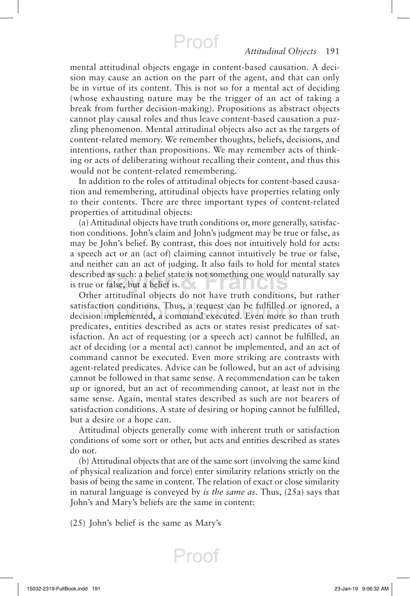#### *Attitudinal Objects* 191

mental attitudinal objects engage in content-based causation. A decision may cause an action on the part of the agent, and that can only be in virtue of its content. This is not so for a mental act of deciding (whose exhausting nature may be the trigger of an act of taking a break from further decision-making). Propositions as abstract objects cannot play causal roles and thus leave content-based causation a puzzling phenomenon. Mental attitudinal objects also act as the targets of content-related memory. We remember thoughts, beliefs, decisions, and intentions, rather than propositions. We may remember acts of thinking or acts of deliberating without recalling their content, and thus this would not be content-related remembering.

In addition to the roles of attitudinal objects for content-based causation and remembering, attitudinal objects have properties relating only to their contents. There are three important types of content-related properties of attitudinal objects:

(a) Attitudinal objects have truth conditions or, more generally, satisfaction conditions. John's claim and John's judgment may be true or false, as may be John's belief. By contrast, this does not intuitively hold for acts: a speech act or an (act of) claiming cannot intuitively be true or false, and neither can an act of judging. It also fails to hold for mental states described as such: a belief state is not something one would naturally say is true or false, but a belief is. l di  $\Delta t$ 

Other attitudinal objects do not have truth conditions, but rather satisfaction conditions. Thus, a request can be fulfilled or ignored, a decision implemented, a command executed. Even more so than truth predicates, entities described as acts or states resist predicates of satisfaction. An act of requesting (or a speech act) cannot be fulfilled, an act of deciding (or a mental act) cannot be implemented, and an act of command cannot be executed. Even more striking are contrasts with agent-related predicates. Advice can be followed, but an act of advising cannot be followed in that same sense. A recommendation can be taken up or ignored, but an act of recommending cannot, at least not in the same sense. Again, mental states described as such are not bearers of satisfaction conditions. A state of desiring or hoping cannot be fulfilled, but a desire or a hope can.

Attitudinal objects generally come with inherent truth or satisfaction conditions of some sort or other, but acts and entities described as states do not.

(b) Attitudinal objects that are of the same sort (involving the same kind of physical realization and force) enter similarity relations strictly on the basis of being the same in content. The relation of exact or close similarity in natural language is conveyed by *is the same as*. Thus, (25a) says that John's and Mary's beliefs are the same in content:

Proot

(25) John's belief is the same as Mary's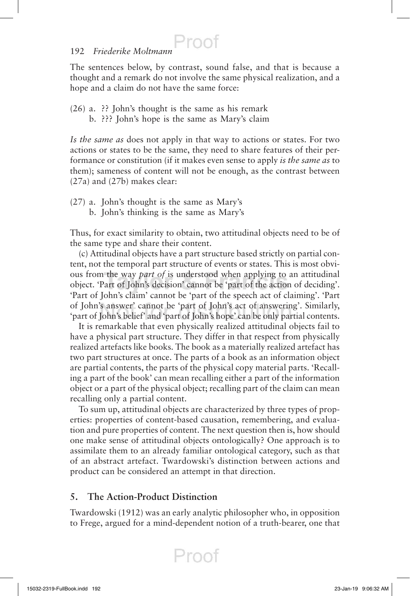### 192 *Friederike Moltmann*

The sentences below, by contrast, sound false, and that is because a thought and a remark do not involve the same physical realization, and a hope and a claim do not have the same force:

- (26) a. ?? John's thought is the same as his remark
	- b. ??? John's hope is the same as Mary's claim

*Is the same as* does not apply in that way to actions or states. For two actions or states to be the same, they need to share features of their performance or constitution (if it makes even sense to apply *is the same as* to them); sameness of content will not be enough, as the contrast between (27a) and (27b) makes clear:

- (27) a. John's thought is the same as Mary's
	- b. John's thinking is the same as Mary's

Thus, for exact similarity to obtain, two attitudinal objects need to be of the same type and share their content.

(c) Attitudinal objects have a part structure based strictly on partial content, not the temporal part structure of events or states. This is most obvious from the way *part of* is understood when applying to an attitudinal object. 'Part of John's decision' cannot be 'part of the action of deciding'. 'Part of John's claim' cannot be 'part of the speech act of claiming'. 'Part of John's answer' cannot be 'part of John's act of answering'. Similarly, 'part of John's belief' and 'part of John's hope' can be only partial contents.

It is remarkable that even physically realized attitudinal objects fail to have a physical part structure. They differ in that respect from physically realized artefacts like books. The book as a materially realized artefact has two part structures at once. The parts of a book as an information object are partial contents, the parts of the physical copy material parts. 'Recalling a part of the book' can mean recalling either a part of the information object or a part of the physical object; recalling part of the claim can mean recalling only a partial content.

To sum up, attitudinal objects are characterized by three types of properties: properties of content-based causation, remembering, and evaluation and pure properties of content. The next question then is, how should one make sense of attitudinal objects ontologically? One approach is to assimilate them to an already familiar ontological category, such as that of an abstract artefact. Twardowski's distinction between actions and product can be considered an attempt in that direction.

### **5. The Action-Product Distinction**

Twardowski (1912) was an early analytic philosopher who, in opposition to Frege, argued for a mind-dependent notion of a truth-bearer, one that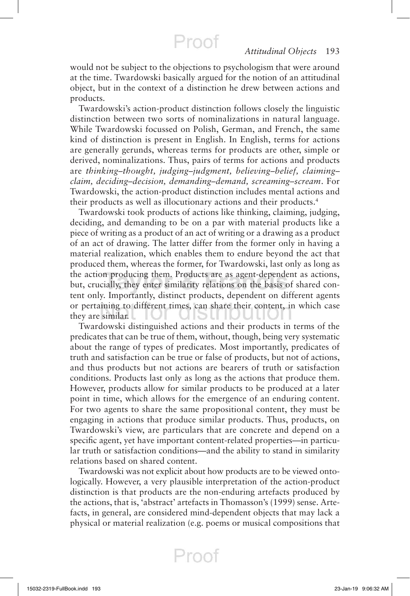#### *Attitudinal Objects* 193

would not be subject to the objections to psychologism that were around at the time. Twardowski basically argued for the notion of an attitudinal object, but in the context of a distinction he drew between actions and products.

Twardowski's action-product distinction follows closely the linguistic distinction between two sorts of nominalizations in natural language. While Twardowski focussed on Polish, German, and French, the same kind of distinction is present in English. In English, terms for actions are generally gerunds, whereas terms for products are other, simple or derived, nominalizations. Thus, pairs of terms for actions and products are *thinking–thought, judging–judgment, believing–belief, claiming– claim, deciding–decision, demanding–demand, screaming–scream*. For Twardowski, the action-product distinction includes mental actions and their products as well as illocutionary actions and their products.4

Twardowski took products of actions like thinking, claiming, judging, deciding, and demanding to be on a par with material products like a piece of writing as a product of an act of writing or a drawing as a product of an act of drawing. The latter differ from the former only in having a material realization, which enables them to endure beyond the act that produced them, whereas the former, for Twardowski, last only as long as the action producing them. Products are as agent-dependent as actions, but, crucially, they enter similarity relations on the basis of shared content only. Importantly, distinct products, dependent on different agents or pertaining to different times, can share their content, in which case they are similar. <u>uiðli iðutil</u>

Twardowski distinguished actions and their products in terms of the predicates that can be true of them, without, though, being very systematic about the range of types of predicates. Most importantly, predicates of truth and satisfaction can be true or false of products, but not of actions, and thus products but not actions are bearers of truth or satisfaction conditions. Products last only as long as the actions that produce them. However, products allow for similar products to be produced at a later point in time, which allows for the emergence of an enduring content. For two agents to share the same propositional content, they must be engaging in actions that produce similar products. Thus, products, on Twardowski's view, are particulars that are concrete and depend on a specific agent, yet have important content-related properties—in particular truth or satisfaction conditions—and the ability to stand in similarity relations based on shared content.

Twardowski was not explicit about how products are to be viewed ontologically. However, a very plausible interpretation of the action-product distinction is that products are the non-enduring artefacts produced by the actions, that is, 'abstract' artefacts in Thomasson's (1999) sense. Artefacts, in general, are considered mind-dependent objects that may lack a physical or material realization (e.g. poems or musical compositions that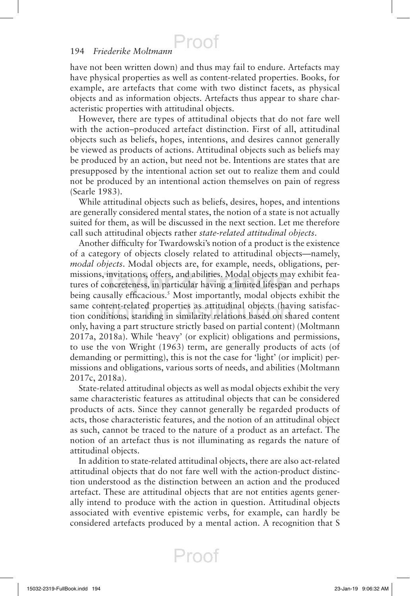### 194 *Friederike Moltmann*

have not been written down) and thus may fail to endure. Artefacts may have physical properties as well as content-related properties. Books, for example, are artefacts that come with two distinct facets, as physical objects and as information objects. Artefacts thus appear to share characteristic properties with attitudinal objects.

However, there are types of attitudinal objects that do not fare well with the action–produced artefact distinction. First of all, attitudinal objects such as beliefs, hopes, intentions, and desires cannot generally be viewed as products of actions. Attitudinal objects such as beliefs may be produced by an action, but need not be. Intentions are states that are presupposed by the intentional action set out to realize them and could not be produced by an intentional action themselves on pain of regress (Searle 1983).

While attitudinal objects such as beliefs, desires, hopes, and intentions are generally considered mental states, the notion of a state is not actually suited for them, as will be discussed in the next section. Let me therefore call such attitudinal objects rather *state-related attitudinal objects*.

Another difficulty for Twardowski's notion of a product is the existence of a category of objects closely related to attitudinal objects—namely, *modal objects*. Modal objects are, for example, needs, obligations, permissions, invitations, offers, and abilities. Modal objects may exhibit features of concreteness, in particular having a limited lifespan and perhaps being causally efficacious.5 Most importantly, modal objects exhibit the same content-related properties as attitudinal objects (having satisfaction conditions, standing in similarity relations based on shared content only, having a part structure strictly based on partial content) (Moltmann 2017a, 2018a). While 'heavy' (or explicit) obligations and permissions, to use the von Wright (1963) term, are generally products of acts (of demanding or permitting), this is not the case for 'light' (or implicit) permissions and obligations, various sorts of needs, and abilities (Moltmann 2017c, 2018a).

State-related attitudinal objects as well as modal objects exhibit the very same characteristic features as attitudinal objects that can be considered products of acts. Since they cannot generally be regarded products of acts, those characteristic features, and the notion of an attitudinal object as such, cannot be traced to the nature of a product as an artefact. The notion of an artefact thus is not illuminating as regards the nature of attitudinal objects.

In addition to state-related attitudinal objects, there are also act-related attitudinal objects that do not fare well with the action-product distinction understood as the distinction between an action and the produced artefact. These are attitudinal objects that are not entities agents generally intend to produce with the action in question. Attitudinal objects associated with eventive epistemic verbs, for example, can hardly be considered artefacts produced by a mental action. A recognition that S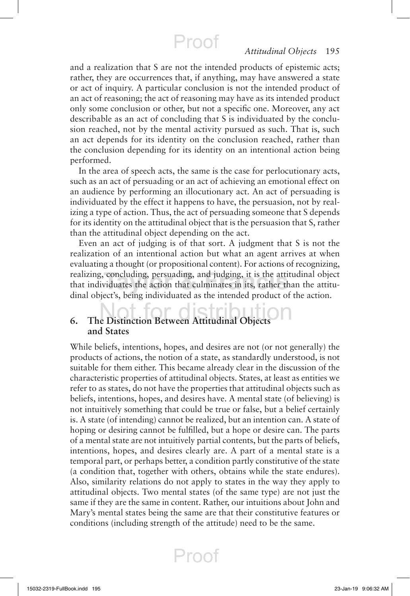#### *Attitudinal Objects* 195

and a realization that S are not the intended products of epistemic acts; rather, they are occurrences that, if anything, may have answered a state or act of inquiry. A particular conclusion is not the intended product of an act of reasoning; the act of reasoning may have as its intended product only some conclusion or other, but not a specific one. Moreover, any act describable as an act of concluding that S is individuated by the conclusion reached, not by the mental activity pursued as such. That is, such an act depends for its identity on the conclusion reached, rather than the conclusion depending for its identity on an intentional action being performed.

In the area of speech acts, the same is the case for perlocutionary acts, such as an act of persuading or an act of achieving an emotional effect on an audience by performing an illocutionary act. An act of persuading is individuated by the effect it happens to have, the persuasion, not by realizing a type of action. Thus, the act of persuading someone that S depends for its identity on the attitudinal object that is the persuasion that S, rather than the attitudinal object depending on the act.

Even an act of judging is of that sort. A judgment that S is not the realization of an intentional action but what an agent arrives at when evaluating a thought (or propositional content). For actions of recognizing, realizing, concluding, persuading, and judging, it is the attitudinal object that individuates the action that culminates in its, rather than the attitudinal object's, being individuated as the intended product of the action.

### **6. The Distinction Between Attitudinal Objects and States**

While beliefs, intentions, hopes, and desires are not (or not generally) the products of actions, the notion of a state, as standardly understood, is not suitable for them either. This became already clear in the discussion of the characteristic properties of attitudinal objects. States, at least as entities we refer to as states, do not have the properties that attitudinal objects such as beliefs, intentions, hopes, and desires have. A mental state (of believing) is not intuitively something that could be true or false, but a belief certainly is. A state (of intending) cannot be realized, but an intention can. A state of hoping or desiring cannot be fulfilled, but a hope or desire can. The parts of a mental state are not intuitively partial contents, but the parts of beliefs, intentions, hopes, and desires clearly are. A part of a mental state is a temporal part, or perhaps better, a condition partly constitutive of the state (a condition that, together with others, obtains while the state endures). Also, similarity relations do not apply to states in the way they apply to attitudinal objects. Two mental states (of the same type) are not just the same if they are the same in content. Rather, our intuitions about John and Mary's mental states being the same are that their constitutive features or conditions (including strength of the attitude) need to be the same.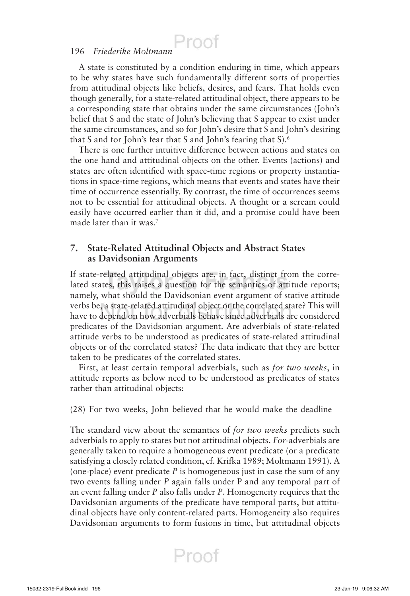### 196 *Friederike Moltmann*

A state is constituted by a condition enduring in time, which appears to be why states have such fundamentally different sorts of properties from attitudinal objects like beliefs, desires, and fears. That holds even though generally, for a state-related attitudinal object, there appears to be a corresponding state that obtains under the same circumstances (John's belief that S and the state of John's believing that S appear to exist under the same circumstances, and so for John's desire that S and John's desiring that S and for John's fear that S and John's fearing that S).6

There is one further intuitive difference between actions and states on the one hand and attitudinal objects on the other. Events (actions) and states are often identified with space-time regions or property instantiations in space-time regions, which means that events and states have their time of occurrence essentially. By contrast, the time of occurrences seems not to be essential for attitudinal objects. A thought or a scream could easily have occurred earlier than it did, and a promise could have been made later than it was.7

### **7. State-Related Attitudinal Objects and Abstract States as Davidsonian Arguments**

If state-related attitudinal objects are, in fact, distinct from the correlated states, this raises a question for the semantics of attitude reports; namely, what should the Davidsonian event argument of stative attitude verbs be, a state-related attitudinal object or the correlated state? This will have to depend on how adverbials behave since adverbials are considered predicates of the Davidsonian argument. Are adverbials of state-related attitude verbs to be understood as predicates of state-related attitudinal objects or of the correlated states? The data indicate that they are better taken to be predicates of the correlated states.

First, at least certain temporal adverbials, such as *for two weeks*, in attitude reports as below need to be understood as predicates of states rather than attitudinal objects:

(28) For two weeks, John believed that he would make the deadline

The standard view about the semantics of *for two weeks* predicts such adverbials to apply to states but not attitudinal objects. *For*-adverbials are generally taken to require a homogeneous event predicate (or a predicate satisfying a closely related condition, cf. Krifka 1989; Moltmann 1991). A (one-place) event predicate *P* is homogeneous just in case the sum of any two events falling under *P* again falls under P and any temporal part of an event falling under *P* also falls under *P*. Homogeneity requires that the Davidsonian arguments of the predicate have temporal parts, but attitudinal objects have only content-related parts. Homogeneity also requires Davidsonian arguments to form fusions in time, but attitudinal objects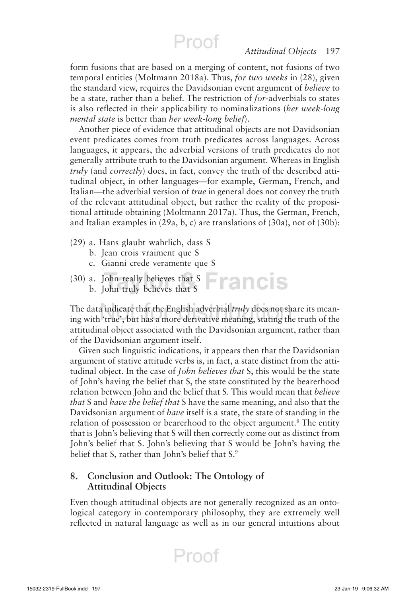#### *Attitudinal Objects* 197

form fusions that are based on a merging of content, not fusions of two temporal entities (Moltmann 2018a). Thus, *for two weeks* in (28), given the standard view, requires the Davidsonian event argument of *believe* to be a state, rather than a belief. The restriction of *for*-adverbials to states is also reflected in their applicability to nominalizations (*her week-long mental state* is better than *her week-long belief*).

Another piece of evidence that attitudinal objects are not Davidsonian event predicates comes from truth predicates across languages. Across languages, it appears, the adverbial versions of truth predicates do not generally attribute truth to the Davidsonian argument. Whereas in English *truly* (and *correctly*) does, in fact, convey the truth of the described attitudinal object, in other languages—for example, German, French, and Italian—the adverbial version of *true* in general does not convey the truth of the relevant attitudinal object, but rather the reality of the propositional attitude obtaining (Moltmann 2017a). Thus, the German, French, and Italian examples in (29a, b, c) are translations of (30a), not of (30b):

- (29) a. Hans glaubt wahrlich, dass S
	- b. Jean crois vraiment que S
	- c. Gianni crede veramente que S
- (30) a. John really believes that S b. John truly believes that S

The data indicate that the English adverbial *truly* does not share its meaning with 'true', but has a more derivative meaning, stating the truth of the attitudinal object associated with the Davidsonian argument, rather than of the Davidsonian argument itself.

Given such linguistic indications, it appears then that the Davidsonian argument of stative attitude verbs is, in fact, a state distinct from the attitudinal object. In the case of *John believes that* S, this would be the state of John's having the belief that S, the state constituted by the bearerhood relation between John and the belief that S. This would mean that *believe that* S and *have the belief that* S have the same meaning, and also that the Davidsonian argument of *have* itself is a state, the state of standing in the relation of possession or bearerhood to the object argument.<sup>8</sup> The entity that is John's believing that S will then correctly come out as distinct from John's belief that S. John's believing that S would be John's having the belief that S, rather than John's belief that S.<sup>9</sup>

### **8. Conclusion and Outlook: The Ontology of Attitudinal Objects**

Even though attitudinal objects are not generally recognized as an ontological category in contemporary philosophy, they are extremely well reflected in natural language as well as in our general intuitions about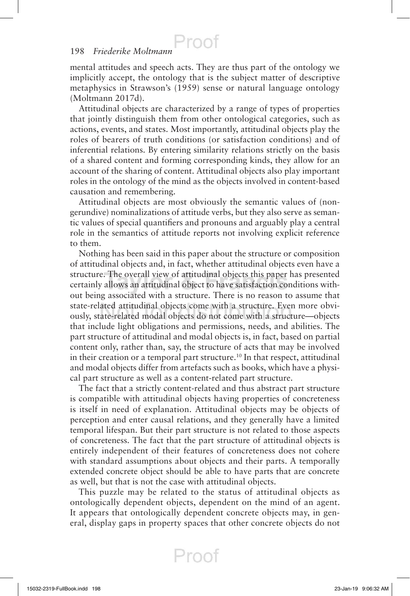### 198 *Friederike Moltmann*

mental attitudes and speech acts. They are thus part of the ontology we implicitly accept, the ontology that is the subject matter of descriptive metaphysics in Strawson's (1959) sense or natural language ontology (Moltmann 2017d).

Attitudinal objects are characterized by a range of types of properties that jointly distinguish them from other ontological categories, such as actions, events, and states. Most importantly, attitudinal objects play the roles of bearers of truth conditions (or satisfaction conditions) and of inferential relations. By entering similarity relations strictly on the basis of a shared content and forming corresponding kinds, they allow for an account of the sharing of content. Attitudinal objects also play important roles in the ontology of the mind as the objects involved in content-based causation and remembering.

Attitudinal objects are most obviously the semantic values of (nongerundive) nominalizations of attitude verbs, but they also serve as semantic values of special quantifiers and pronouns and arguably play a central role in the semantics of attitude reports not involving explicit reference to them.

Nothing has been said in this paper about the structure or composition of attitudinal objects and, in fact, whether attitudinal objects even have a structure. The overall view of attitudinal objects this paper has presented certainly allows an attitudinal object to have satisfaction conditions without being associated with a structure. There is no reason to assume that state-related attitudinal objects come with a structure. Even more obviously, state-related modal objects do not come with a structure—objects that include light obligations and permissions, needs, and abilities. The part structure of attitudinal and modal objects is, in fact, based on partial content only, rather than, say, the structure of acts that may be involved in their creation or a temporal part structure.<sup>10</sup> In that respect, attitudinal and modal objects differ from artefacts such as books, which have a physical part structure as well as a content-related part structure.

The fact that a strictly content-related and thus abstract part structure is compatible with attitudinal objects having properties of concreteness is itself in need of explanation. Attitudinal objects may be objects of perception and enter causal relations, and they generally have a limited temporal lifespan. But their part structure is not related to those aspects of concreteness. The fact that the part structure of attitudinal objects is entirely independent of their features of concreteness does not cohere with standard assumptions about objects and their parts. A temporally extended concrete object should be able to have parts that are concrete as well, but that is not the case with attitudinal objects.

This puzzle may be related to the status of attitudinal objects as ontologically dependent objects, dependent on the mind of an agent. It appears that ontologically dependent concrete objects may, in general, display gaps in property spaces that other concrete objects do not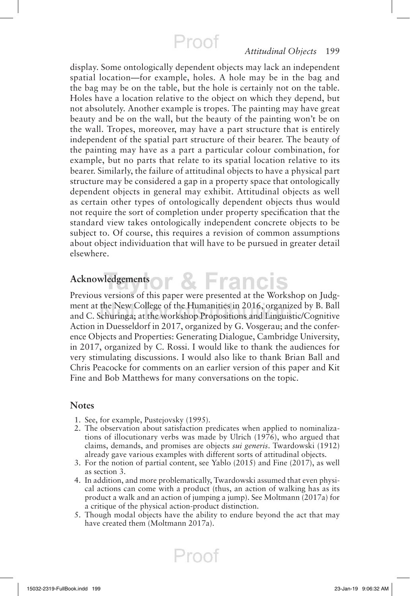#### *Attitudinal Objects* 199

display. Some ontologically dependent objects may lack an independent spatial location—for example, holes. A hole may be in the bag and the bag may be on the table, but the hole is certainly not on the table. Holes have a location relative to the object on which they depend, but not absolutely. Another example is tropes. The painting may have great beauty and be on the wall, but the beauty of the painting won't be on the wall. Tropes, moreover, may have a part structure that is entirely independent of the spatial part structure of their bearer. The beauty of the painting may have as a part a particular colour combination, for example, but no parts that relate to its spatial location relative to its bearer. Similarly, the failure of attitudinal objects to have a physical part structure may be considered a gap in a property space that ontologically dependent objects in general may exhibit. Attitudinal objects as well as certain other types of ontologically dependent objects thus would not require the sort of completion under property specification that the standard view takes ontologically independent concrete objects to be subject to. Of course, this requires a revision of common assumptions about object individuation that will have to be pursued in greater detail elsewhere.

### Acknowledgements<br> **Acknowledgements**<br> **Acknowledgements**

Previous versions of this paper were presented at the Workshop on Judgment at the New College of the Humanities in 2016, organized by B. Ball and C. Schuringa; at the workshop Propositions and Linguistic/Cognitive Action in Duesseldorf in 2017, organized by G. Vosgerau; and the conference Objects and Properties: Generating Dialogue, Cambridge University, in 2017, organized by C. Rossi. I would like to thank the audiences for very stimulating discussions. I would also like to thank Brian Ball and Chris Peacocke for comments on an earlier version of this paper and Kit Fine and Bob Matthews for many conversations on the topic.

#### **Notes**

- 1. See, for example, Pustejovsky (1995).
- 2. The observation about satisfaction predicates when applied to nominalizations of illocutionary verbs was made by Ulrich (1976), who argued that claims, demands, and promises are objects *sui generis*. Twardowski (1912) already gave various examples with different sorts of attitudinal objects.
- 3. For the notion of partial content, see Yablo (2015) and Fine (2017), as well as section 3.
- 4. In addition, and more problematically, Twardowski assumed that even physical actions can come with a product (thus, an action of walking has as its product a walk and an action of jumping a jump). See Moltmann (2017a) for a critique of the physical action-product distinction.
- 5. Though modal objects have the ability to endure beyond the act that may have created them (Moltmann 2017a).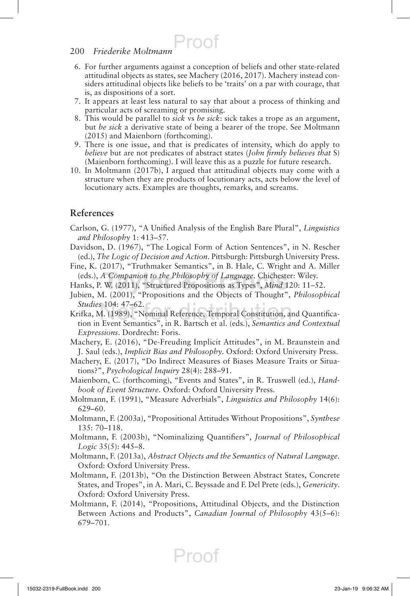### 200 *Friederike Moltmann*

- 6. For further arguments against a conception of beliefs and other state-related attitudinal objects as states, see Machery (2016, 2017). Machery instead considers attitudinal objects like beliefs to be 'traits' on a par with courage, that is, as dispositions of a sort.
- 7. It appears at least less natural to say that about a process of thinking and particular acts of screaming or promising.
- 8. This would be parallel to *sick* vs *be sick*: sick takes a trope as an argument, but *be sick* a derivative state of being a bearer of the trope. See Moltmann (2015) and Maienborn (forthcoming).
- 9. There is one issue, and that is predicates of intensity, which do apply to *believe* but are not predicates of abstract states (*John firmly believes that* S) (Maienborn forthcoming). I will leave this as a puzzle for future research.
- 10. In Moltmann (2017b), I argued that attitudinal objects may come with a structure when they are products of locutionary acts, acts below the level of locutionary acts. Examples are thoughts, remarks, and screams.

### **References**

- Carlson, G. (1977), "A Unified Analysis of the English Bare Plural", *Linguistics and Philosophy* 1: 413–57.
- Davidson, D. (1967), "The Logical Form of Action Sentences", in N. Rescher (ed.), *The Logic of Decision and Action*. Pittsburgh: Pittsburgh University Press.
- Fine, K. (2017), "Truthmaker Semantics", in B. Hale, C. Wright and A. Miller (eds.), *A Companion to the Philosophy of Language*. Chichester: Wiley.
- Hanks, P. W. (2011), "Structured Propositions as Types", *Mind* 120: 11–52.
- Jubien, M. (2001), "Propositions and the Objects of Thought", *Philosophical Studies* 104: 47–62.
- Krifka, M. (1989), "Nominal Reference, Temporal Constitution, and Quantification in Event Semantics", in R. Bartsch et al. (eds.), *Semantics and Contextual Expressions*. Dordrecht: Foris.
- Machery, E. (2016), "De-Freuding Implicit Attitudes", in M. Braunstein and J. Saul (eds.), *Implicit Bias and Philosophy*. Oxford: Oxford University Press.
- Machery, E. (2017), "Do Indirect Measures of Biases Measure Traits or Situations?", *Psychological Inquiry* 28(4): 288–91.
- Maienborn, C. (forthcoming), "Events and States", in R. Truswell (ed.), *Handbook of Event Structure*. Oxford: Oxford University Press.
- Moltmann, F. (1991), "Measure Adverbials", *Linguistics and Philosophy* 14(6): 629–60.
- Moltmann, F. (2003a), "Propositional Attitudes Without Propositions", *Synth*e*se* 135: 70–118.
- Moltmann, F. (2003b), "Nominalizing Quantifiers", *Journal of Philosophical Logic* 35(5): 445–8.
- Moltmann, F. (2013a), *Abstract Objects and the Semantics of Natural Language*. Oxford: Oxford University Press.
- Moltmann, F. (2013b), "On the Distinction Between Abstract States, Concrete States, and Tropes", in A. Mari, C. Beyssade and F. Del Prete (eds.), *Genericity*. Oxford: Oxford University Press.
- Moltmann, F. (2014), "Propositions, Attitudinal Objects, and the Distinction Between Actions and Products", *Canadian Journal of Philosoph*y 43(5–6): 679–701.